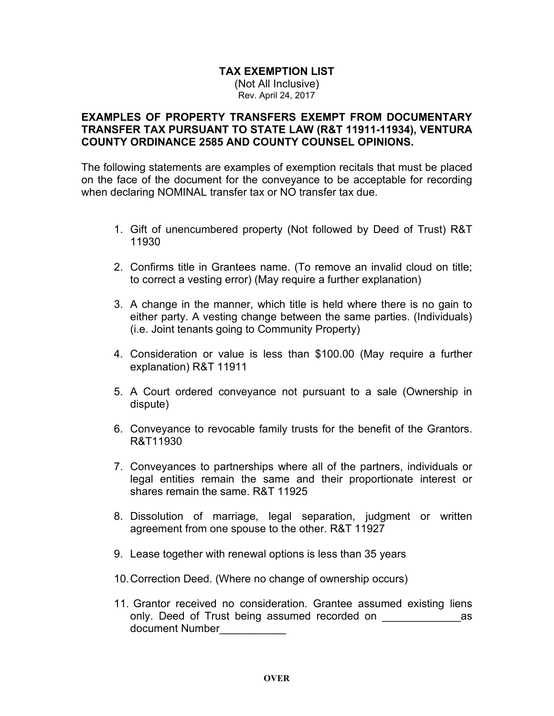## **TAX EXEMPTION LIST** (Not All Inclusive)

Rev. April 24, 2017

## **EXAMPLES OF PROPERTY TRANSFERS EXEMPT FROM DOCUMENTARY TRANSFER TAX PURSUANT TO STATE LAW (R&T 11911-11934), VENTURA COUNTY ORDINANCE 2585 AND COUNTY COUNSEL OPINIONS.**

The following statements are examples of exemption recitals that must be placed on the face of the document for the conveyance to be acceptable for recording when declaring NOMINAL transfer tax or NO transfer tax due.

- 1. Gift of unencumbered property (Not followed by Deed of Trust) R&T 11930
- 2. Confirms title in Grantees name. (To remove an invalid cloud on title; to correct a vesting error) (May require a further explanation)
- 3. A change in the manner, which title is held where there is no gain to either party. A vesting change between the same parties. (Individuals) (i.e. Joint tenants going to Community Property)
- 4. Consideration or value is less than \$100.00 (May require a further explanation) R&T 11911
- 5. A Court ordered conveyance not pursuant to a sale (Ownership in dispute)
- 6. Conveyance to revocable family trusts for the benefit of the Grantors. R&T11930
- 7. Conveyances to partnerships where all of the partners, individuals or legal entities remain the same and their proportionate interest or shares remain the same. R&T 11925
- 8. Dissolution of marriage, legal separation, judgment or written agreement from one spouse to the other. R&T 11927
- 9. Lease together with renewal options is less than 35 years
- 10.Correction Deed. (Where no change of ownership occurs)
- 11. Grantor received no consideration. Grantee assumed existing liens only. Deed of Trust being assumed recorded on example as document Number\_\_\_\_\_\_\_\_\_\_\_